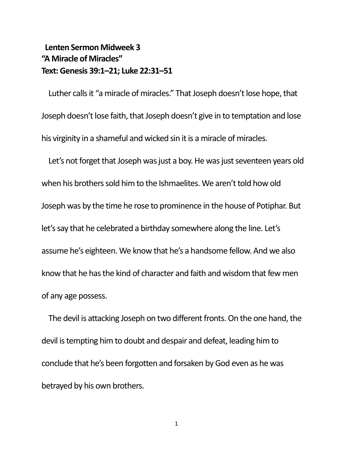## **Lenten Sermon Midweek 3 "A Miracle of Miracles" Text: Genesis 39:1–21; Luke 22:31–51**

Luther calls it "a miracle of miracles." That Joseph doesn't lose hope, that Joseph doesn't lose faith, that Joseph doesn't give in to temptation and lose his virginity in a shameful and wicked sin it is a miracle of miracles.

Let's not forget that Joseph was just a boy. He was just seventeen years old when his brothers sold him to the Ishmaelites. We aren't told how old Joseph was by the time he rose to prominence in the house of Potiphar. But let's say that he celebrated a birthday somewhere along the line. Let's assume he's eighteen. We know that he's a handsome fellow. And we also know that he has the kind of character and faith and wisdom that few men of any age possess.

The devil is attacking Joseph on two different fronts. On the one hand, the devil is tempting him to doubt and despair and defeat, leading him to conclude that he's been forgotten and forsaken by God even as he was betrayed by his own brothers.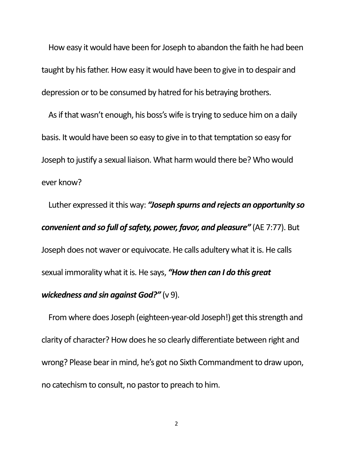How easy it would have been for Joseph to abandon the faith he had been taught by his father. How easy it would have been to give in to despair and depression or to be consumed by hatred for his betraying brothers.

As if that wasn't enough, his boss's wife is trying to seduce him on a daily basis. It would have been so easy to give in to that temptation so easy for Joseph to justify a sexual liaison. What harm would there be? Who would ever know?

Luther expressed it this way: *"Joseph spurns and rejects an opportunity so convenient and so full of safety, power, favor, and pleasure"* (AE 7:77). But Joseph does not waver or equivocate. He calls adultery what it is. He calls sexual immorality what it is. He says, *"How then can I do this great wickedness and sin against God?"* (v 9).

From where does Joseph (eighteen-year-old Joseph!) get this strength and clarity of character? How does he so clearly differentiate between right and wrong? Please bear in mind, he's got no Sixth Commandment to draw upon, no catechism to consult, no pastor to preach to him.

2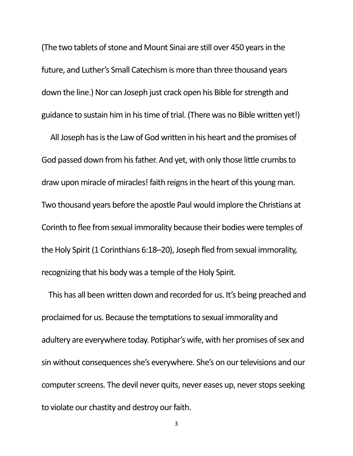(The two tablets of stone and Mount Sinai are still over 450 years in the future, and Luther's Small Catechism is more than three thousand years down the line.) Nor can Joseph just crack open his Bible for strength and guidance to sustain him in his time of trial. (There was no Bible written yet!)

 All Joseph has is the Law of God written in his heart and the promises of God passed down from his father. And yet, with only those little crumbs to draw upon miracle of miracles! faith reigns in the heart of this young man. Two thousand years before the apostle Paul would implore the Christians at Corinth to flee from sexual immorality because their bodies were temples of the Holy Spirit (1 Corinthians 6:18–20), Joseph fled from sexual immorality, recognizing that his body was a temple of the Holy Spirit.

This has all been written down and recorded for us. It's being preached and proclaimed for us. Because the temptations to sexual immorality and adultery are everywhere today. Potiphar's wife, with her promises of sex and sin without consequences she's everywhere. She's on our televisions and our computer screens. The devil never quits, never eases up, never stops seeking to violate our chastity and destroy our faith.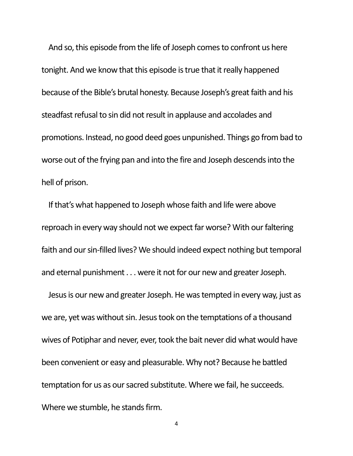And so, this episode from the life of Joseph comes to confront us here tonight. And we know that this episode is true that it really happened because of the Bible's brutal honesty. Because Joseph's great faith and his steadfast refusal to sin did not result in applause and accolades and promotions. Instead, no good deed goes unpunished. Things go from bad to worse out of the frying pan and into the fire and Joseph descends into the hell of prison.

If that's what happened to Joseph whose faith and life were above reproach in every way should not we expect far worse? With our faltering faith and our sin-filled lives? We should indeed expect nothing but temporal and eternal punishment . . . were it not for our new and greater Joseph.

Jesus is our new and greater Joseph. He was tempted in every way, just as we are, yet was without sin. Jesus took on the temptations of a thousand wives of Potiphar and never, ever, took the bait never did what would have been convenient or easy and pleasurable. Why not? Because he battled temptation for us as our sacred substitute. Where we fail, he succeeds. Where we stumble, he stands firm.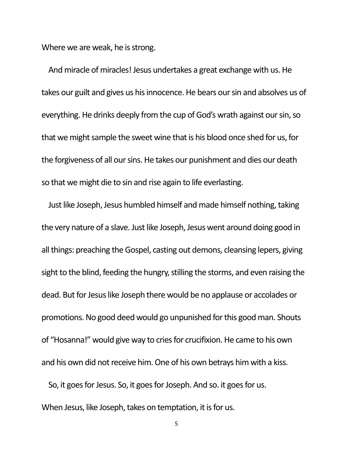Where we are weak, he is strong.

And miracle of miracles! Jesus undertakes a great exchange with us. He takes our guilt and gives us his innocence. He bears our sin and absolves us of everything. He drinks deeply from the cup of God's wrath against our sin, so that we might sample the sweet wine that is his blood once shed for us, for the forgiveness of all our sins. He takes our punishment and dies our death so that we might die to sin and rise again to life everlasting.

Just like Joseph, Jesus humbled himself and made himself nothing, taking the very nature of a slave. Just like Joseph, Jesus went around doing good in all things: preaching the Gospel, casting out demons, cleansing lepers, giving sight to the blind, feeding the hungry, stilling the storms, and even raising the dead. But for Jesus like Joseph there would be no applause or accolades or promotions. No good deed would go unpunished for this good man. Shouts of "Hosanna!" would give way to cries for crucifixion. He came to his own and his own did not receive him. One of his own betrays him with a kiss.

So, it goes for Jesus. So, it goes for Joseph. And so. it goes for us. When Jesus, like Joseph, takes on temptation, it is for us.